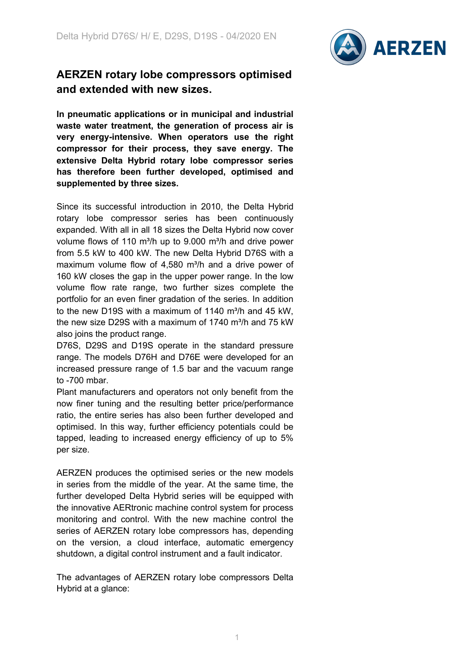

## **AERZEN rotary lobe compressors optimised and extended with new sizes.**

**In pneumatic applications or in municipal and industrial waste water treatment, the generation of process air is very energy-intensive. When operators use the right compressor for their process, they save energy. The extensive Delta Hybrid rotary lobe compressor series has therefore been further developed, optimised and supplemented by three sizes.**

Since its successful introduction in 2010, the Delta Hybrid rotary lobe compressor series has been continuously expanded. With all in all 18 sizes the Delta Hybrid now cover volume flows of 110 m<sup>3</sup>/h up to 9.000 m<sup>3</sup>/h and drive power from 5.5 kW to 400 kW. The new Delta Hybrid D76S with a maximum volume flow of  $4,580$  m $\frac{3}{h}$  and a drive power of 160 kW closes the gap in the upper power range. In the low volume flow rate range, two further sizes complete the portfolio for an even finer gradation of the series. In addition to the new D19S with a maximum of 1140  $m^3/h$  and 45 kW. the new size D29S with a maximum of 1740  $m^3/h$  and 75 kW also joins the product range.

D76S, D29S and D19S operate in the standard pressure range. The models D76H and D76E were developed for an increased pressure range of 1.5 bar and the vacuum range to -700 mbar.

Plant manufacturers and operators not only benefit from the now finer tuning and the resulting better price/performance ratio, the entire series has also been further developed and optimised. In this way, further efficiency potentials could be tapped, leading to increased energy efficiency of up to 5% per size.

AERZEN produces the optimised series or the new models in series from the middle of the year. At the same time, the further developed Delta Hybrid series will be equipped with the innovative AERtronic machine control system for process monitoring and control. With the new machine control the series of AERZEN rotary lobe compressors has, depending on the version, a cloud interface, automatic emergency shutdown, a digital control instrument and a fault indicator.

The advantages of AERZEN rotary lobe compressors Delta Hybrid at a glance: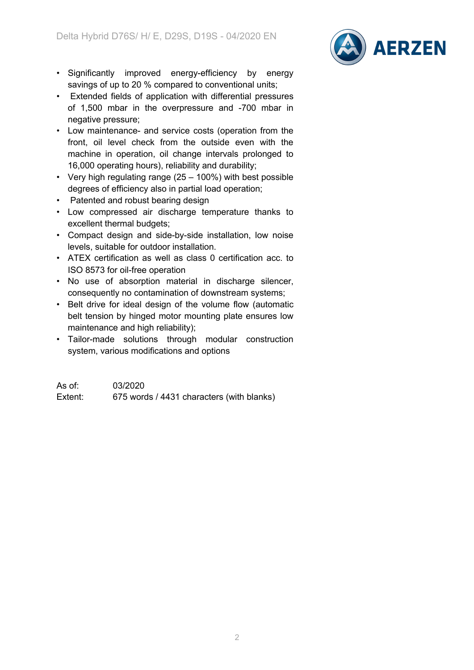

- Significantly improved energy-efficiency by energy savings of up to 20 % compared to conventional units;
- Extended fields of application with differential pressures of 1,500 mbar in the overpressure and -700 mbar in negative pressure;
- Low maintenance- and service costs (operation from the front, oil level check from the outside even with the machine in operation, oil change intervals prolonged to 16,000 operating hours), reliability and durability;
- Very high regulating range (25 100%) with best possible degrees of efficiency also in partial load operation;
- Patented and robust bearing design
- Low compressed air discharge temperature thanks to excellent thermal budgets;
- Compact design and side-by-side installation, low noise levels, suitable for outdoor installation.
- ATEX certification as well as class 0 certification acc. to ISO 8573 for oil-free operation
- No use of absorption material in discharge silencer, consequently no contamination of downstream systems;
- Belt drive for ideal design of the volume flow (automatic belt tension by hinged motor mounting plate ensures low maintenance and high reliability);
- Tailor-made solutions through modular construction system, various modifications and options

As of: 03/2020 Extent: 675 words / 4431 characters (with blanks)